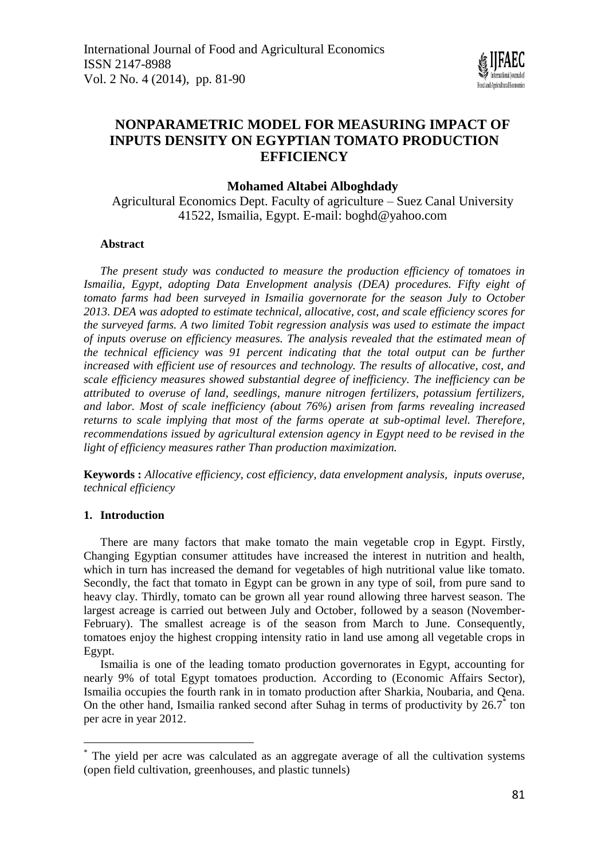

# **NONPARAMETRIC MODEL FOR MEASURING IMPACT OF INPUTS DENSITY ON EGYPTIAN TOMATO PRODUCTION EFFICIENCY**

# **Mohamed Altabei Alboghdady**

Agricultural Economics Dept. Faculty of agriculture – Suez Canal University 41522, Ismailia, Egypt. E-mail: [boghd@yahoo.com](mailto:boghd@yahoo.com)

### **Abstract**

*The present study was conducted to measure the production efficiency of tomatoes in Ismailia, Egypt, adopting Data Envelopment analysis (DEA) procedures. Fifty eight of tomato farms had been surveyed in Ismailia governorate for the season July to October 2013. DEA was adopted to estimate technical, allocative, cost, and scale efficiency scores for the surveyed farms. A two limited Tobit regression analysis was used to estimate the impact of inputs overuse on efficiency measures. The analysis revealed that the estimated mean of the technical efficiency was 91 percent indicating that the total output can be further increased with efficient use of resources and technology. The results of allocative, cost, and scale efficiency measures showed substantial degree of inefficiency. The inefficiency can be attributed to overuse of land, seedlings, manure nitrogen fertilizers, potassium fertilizers, and labor. Most of scale inefficiency (about 76%) arisen from farms revealing increased returns to scale implying that most of the farms operate at sub-optimal level. Therefore, recommendations issued by agricultural extension agency in Egypt need to be revised in the light of efficiency measures rather Than production maximization.*

**Keywords :** *Allocative efficiency, cost efficiency, data envelopment analysis, inputs overuse, technical efficiency* 

### **1. Introduction**

 $\overline{a}$ 

There are many factors that make tomato the main vegetable crop in Egypt. Firstly, Changing Egyptian consumer attitudes have increased the interest in nutrition and health, which in turn has increased the demand for vegetables of high nutritional value like tomato. Secondly, the fact that tomato in Egypt can be grown in any type of soil, from pure sand to heavy clay. Thirdly, tomato can be grown all year round allowing three harvest season. The largest acreage is carried out between July and October, followed by a season (November-February). The smallest acreage is of the season from March to June. Consequently, tomatoes enjoy the highest cropping intensity ratio in land use among all vegetable crops in Egypt.

Ismailia is one of the leading tomato production governorates in Egypt, accounting for nearly 9% of total Egypt tomatoes production. According to [\(Economic Affairs Sector\)](#page-7-0), Ismailia occupies the fourth rank in in tomato production after Sharkia, Noubaria, and Qena. On the other hand, Ismailia ranked second after Suhag in terms of productivity by 26.7<sup>\*</sup> ton per acre in year 2012.

The yield per acre was calculated as an aggregate average of all the cultivation systems (open field cultivation, greenhouses, and plastic tunnels)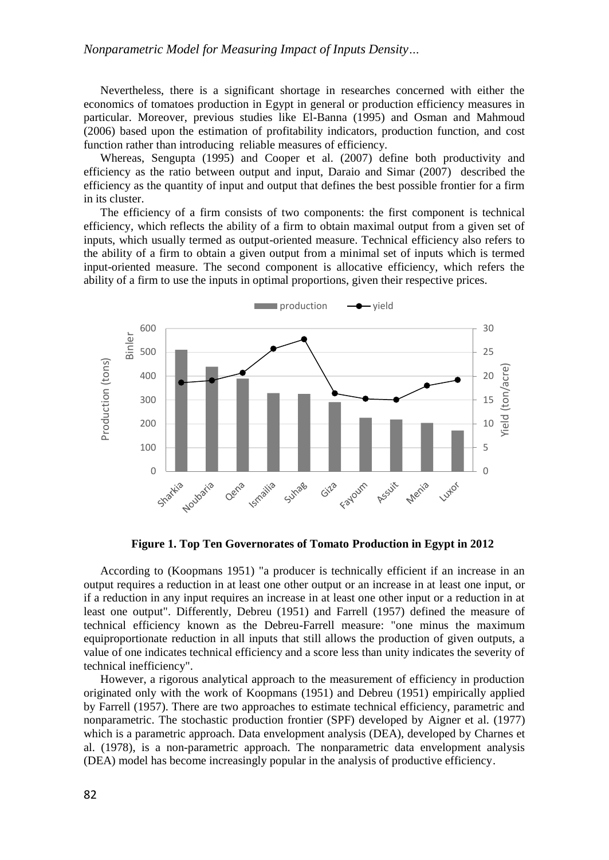Nevertheless, there is a significant shortage in researches concerned with either the economics of tomatoes production in Egypt in general or production efficiency measures in particular. Moreover, previous studies like [El-Banna \(1995\)](#page-8-0) and [Osman and Mahmoud](#page-8-1)  [\(2006\)](#page-8-1) based upon the estimation of profitability indicators, production function, and cost function rather than introducing reliable measures of efficiency.

Whereas, [Sengupta \(1995\)](#page-8-2) and [Cooper et al. \(2007\)](#page-7-1) define both productivity and efficiency as the ratio between output and input, [Daraio and Simar \(2007\)](#page-7-2) described the efficiency as the quantity of input and output that defines the best possible frontier for a firm in its cluster.

The efficiency of a firm consists of two components: the first component is technical efficiency, which reflects the ability of a firm to obtain maximal output from a given set of inputs, which usually termed as output-oriented measure. Technical efficiency also refers to the ability of a firm to obtain a given output from a minimal set of inputs which is termed input-oriented measure. The second component is allocative efficiency, which refers the ability of a firm to use the inputs in optimal proportions, given their respective prices.



**Figure 1. Top Ten Governorates of Tomato Production in Egypt in 2012**

According to [\(Koopmans 1951\)](#page-8-3) "a producer is technically efficient if an increase in an output requires a reduction in at least one other output or an increase in at least one input, or if a reduction in any input requires an increase in at least one other input or a reduction in at least one output". Differently, [Debreu \(1951\)](#page-7-3) and [Farrell \(1957\)](#page-8-4) defined the measure of technical efficiency known as the Debreu-Farrell measure: "one minus the maximum equiproportionate reduction in all inputs that still allows the production of given outputs, a value of one indicates technical efficiency and a score less than unity indicates the severity of technical inefficiency".

However, a rigorous analytical approach to the measurement of efficiency in production originated only with the work of [Koopmans \(1951\)](#page-8-3) and [Debreu \(1951\)](#page-7-3) empirically applied by [Farrell \(1957\)](#page-8-4). There are two approaches to estimate technical efficiency, parametric and nonparametric. The stochastic production frontier (SPF) developed by [Aigner et al. \(1977\)](#page-7-4) which is a parametric approach. Data envelopment analysis (DEA), developed by [Charnes et](#page-7-5)  [al. \(1978\)](#page-7-5), is a non-parametric approach. The nonparametric data envelopment analysis (DEA) model has become increasingly popular in the analysis of productive efficiency.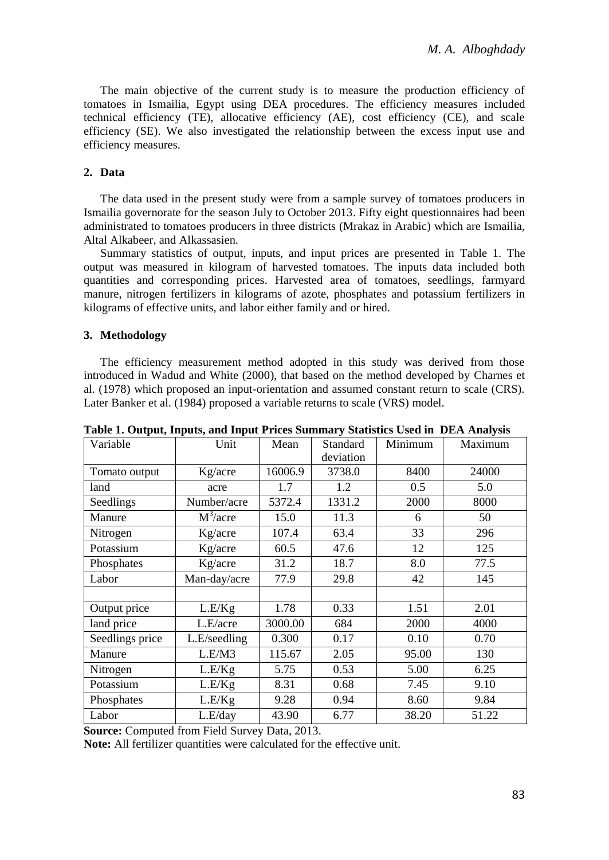The main objective of the current study is to measure the production efficiency of tomatoes in Ismailia, Egypt using DEA procedures. The efficiency measures included technical efficiency (TE), allocative efficiency (AE), cost efficiency (CE), and scale efficiency (SE). We also investigated the relationship between the excess input use and efficiency measures.

# **2. Data**

The data used in the present study were from a sample survey of tomatoes producers in Ismailia governorate for the season July to October 2013. Fifty eight questionnaires had been administrated to tomatoes producers in three districts (Mrakaz in Arabic) which are Ismailia, Altal Alkabeer, and Alkassasien.

Summary statistics of output, inputs, and input prices are presented in [Table 1.](#page-2-0) The output was measured in kilogram of harvested tomatoes. The inputs data included both quantities and corresponding prices. Harvested area of tomatoes, seedlings, farmyard manure, nitrogen fertilizers in kilograms of azote, phosphates and potassium fertilizers in kilograms of effective units, and labor either family and or hired.

### **3. Methodology**

The efficiency measurement method adopted in this study was derived from those introduced in [Wadud and White \(2000\)](#page-8-5), that based on the method developed by [Charnes et](#page-7-5)  [al. \(1978\)](#page-7-5) which proposed an input-orientation and assumed constant return to scale (CRS). Later [Banker et al. \(1984\)](#page-7-6) proposed a variable returns to scale (VRS) model.

| Variable        | Unit         | Mean    | Standard<br>deviation | Minimum | Maximum |
|-----------------|--------------|---------|-----------------------|---------|---------|
| Tomato output   | Kg/acre      | 16006.9 | 3738.0                | 8400    | 24000   |
| land            | acre         | 1.7     | 1.2                   | 0.5     | 5.0     |
| Seedlings       | Number/acre  | 5372.4  | 1331.2                | 2000    | 8000    |
| Manure          | $M^3/a$ cre  | 15.0    | 11.3                  | 6       | 50      |
| Nitrogen        | Kg/acre      | 107.4   | 63.4                  | 33      | 296     |
| Potassium       | Kg/acre      | 60.5    | 47.6                  | 12      | 125     |
| Phosphates      | Kg/acre      | 31.2    | 18.7                  | 8.0     | 77.5    |
| Labor           | Man-day/acre | 77.9    | 29.8                  | 42      | 145     |
|                 |              |         |                       |         |         |
| Output price    | L.E/Kg       | 1.78    | 0.33                  | 1.51    | 2.01    |
| land price      | L.E/acre     | 3000.00 | 684                   | 2000    | 4000    |
| Seedlings price | L.E/seedling | 0.300   | 0.17                  | 0.10    | 0.70    |
| Manure          | L.E/M3       | 115.67  | 2.05                  | 95.00   | 130     |
| Nitrogen        | L.E/Kg       | 5.75    | 0.53                  | 5.00    | 6.25    |
| Potassium       | L.E/Kg       | 8.31    | 0.68                  | 7.45    | 9.10    |
| Phosphates      | L.E/Kg       | 9.28    | 0.94                  | 8.60    | 9.84    |
| Labor           | L.E/day      | 43.90   | 6.77                  | 38.20   | 51.22   |

<span id="page-2-0"></span>**Table 1. Output, Inputs, and Input Prices Summary Statistics Used in DEA Analysis**

**Source:** Computed from Field Survey Data, 2013.

**Note:** All fertilizer quantities were calculated for the effective unit.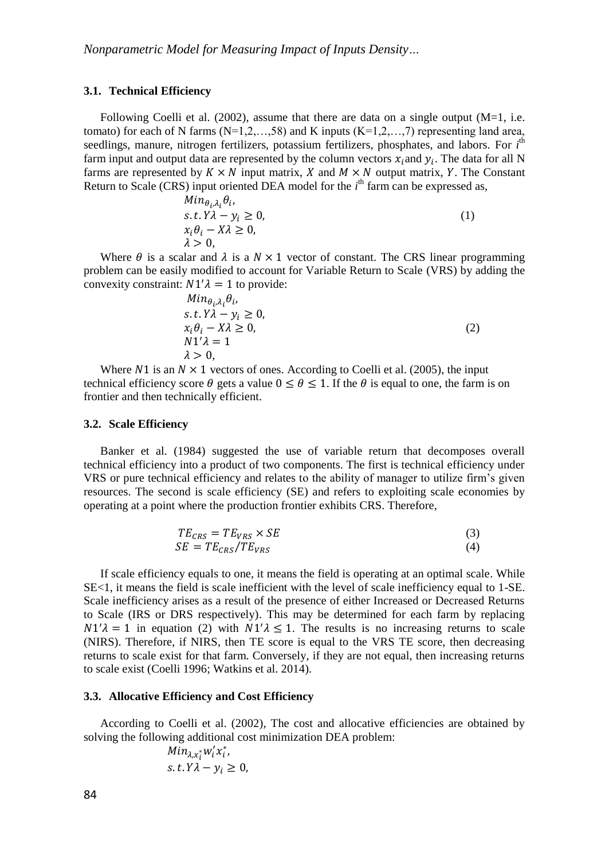#### **3.1. Technical Efficiency**

Following Coelli et al.  $(2002)$ , assume that there are data on a single output  $(M=1, i.e.$ tomato) for each of N farms  $(N=1,2,...,58)$  and K inputs  $(K=1,2,...,7)$  representing land area, seedlings, manure, nitrogen fertilizers, potassium fertilizers, phosphates, and labors. For *i*<sup>th</sup> farm input and output data are represented by the column vectors  $x_i$  and  $y_i$ . The data for all N farms are represented by  $K \times N$  input matrix, X and  $M \times N$  output matrix, Y. The Constant Return to Scale (CRS) input oriented DEA model for the *i*<sup>th</sup> farm can be expressed as,  $M_{122}$ 

$$
Min_{\theta_i, \lambda_i} \theta_i,
$$
  
s. t. Y $\lambda - y_i \ge 0,$   
 $x_i \theta_i - X\lambda \ge 0,$   
 $\lambda > 0,$  (1)

Where  $\theta$  is a scalar and  $\lambda$  is a  $N \times 1$  vector of constant. The CRS linear programming problem can be easily modified to account for Variable Return to Scale (VRS) by adding the convexity constraint:  $N1'\lambda = 1$  to provide:

$$
Min_{\theta_i, \lambda_i} \theta_i,
$$
  
s. t. Y $\lambda - y_i \ge 0,$   
 $x_i \theta_i - X\lambda \ge 0,$   
 $N1'\lambda = 1$   
 $\lambda > 0,$  (2)

Where N1 is an  $N \times 1$  vectors of ones. According to [Coelli et al. \(2005\)](#page-7-8), the input technical efficiency score  $\theta$  gets a value  $0 \le \theta \le 1$ . If the  $\theta$  is equal to one, the farm is on frontier and then technically efficient.

#### **3.2. Scale Efficiency**

[Banker et al. \(1984\)](#page-7-6) suggested the use of variable return that decomposes overall technical efficiency into a product of two components. The first is technical efficiency under VRS or pure technical efficiency and relates to the ability of manager to utilize firm's given resources. The second is scale efficiency (SE) and refers to exploiting scale economies by operating at a point where the production frontier exhibits CRS. Therefore,

$$
TE_{CRS} = TE_{VRS} \times SE
$$
  
\n
$$
SE = TE_{CRS} / TE_{VRS}
$$
\n(3)

If scale efficiency equals to one, it means the field is operating at an optimal scale. While SE<1, it means the field is scale inefficient with the level of scale inefficiency equal to 1-SE. Scale inefficiency arises as a result of the presence of either Increased or Decreased Returns to Scale (IRS or DRS respectively). This may be determined for each farm by replacing  $N1'\lambda = 1$  in equation (2) with  $N1'\lambda \le 1$ . The results is no increasing returns to scale (NIRS). Therefore, if NIRS, then TE score is equal to the VRS TE score, then decreasing returns to scale exist for that farm. Conversely, if they are not equal, then increasing returns to scale exist [\(Coelli 1996;](#page-7-9) [Watkins et al. 2014\)](#page-8-6).

### **3.3. Allocative Efficiency and Cost Efficiency**

According to [Coelli et al. \(2002\)](#page-7-7), The cost and allocative efficiencies are obtained by solving the following additional cost minimization DEA problem:

$$
Min_{\lambda, x_i^*} w_i' x_i^*,
$$
  
s. t.  $Y\lambda - y_i \ge 0$ ,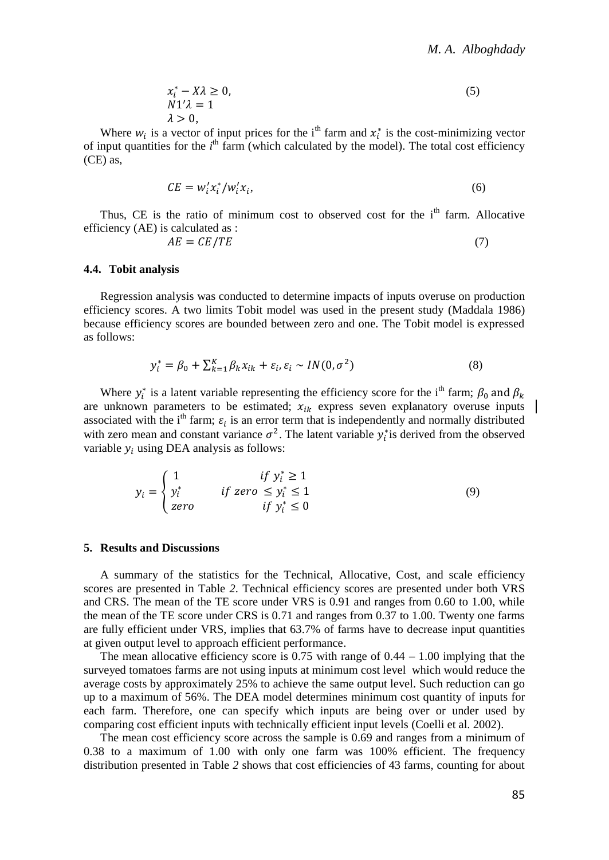$$
x_i^* - X\lambda \ge 0,
$$
  
\n
$$
N1'\lambda = 1
$$
  
\n
$$
\lambda > 0,
$$
\n(5)

Where  $w_i$  is a vector of input prices for the i<sup>th</sup> farm and  $x_i^*$  is the cost-minimizing vector of input quantities for the *i*<sup>th</sup> farm (which calculated by the model). The total cost efficiency (CE) as,

$$
CE = w_i' x_i^* / w_i' x_i,\tag{6}
$$

Thus, CE is the ratio of minimum cost to observed cost for the  $i<sup>th</sup>$  farm. Allocative efficiency (AE) is calculated as :

$$
AE = CE/TE \tag{7}
$$

#### **4.4. Tobit analysis**

Regression analysis was conducted to determine impacts of inputs overuse on production efficiency scores. A two limits Tobit model was used in the present study [\(Maddala 1986\)](#page-8-7) because efficiency scores are bounded between zero and one. The Tobit model is expressed as follows:

$$
y_i^* = \beta_0 + \sum_{k=1}^K \beta_k x_{ik} + \varepsilon_i, \varepsilon_i \sim IN(0, \sigma^2)
$$
\n(8)

Where  $y_i^*$  is a latent variable representing the efficiency score for the i<sup>th</sup> farm;  $\beta_0$  and  $\beta_k$ are unknown parameters to be estimated;  $x_{ik}$  express seven explanatory overuse inputs associated with the i<sup>th</sup> farm;  $\varepsilon_i$  is an error term that is independently and normally distributed with zero mean and constant variance  $\sigma^2$ . The latent variable  $y_i^*$  is derived from the observed variable  $y_i$  using DEA analysis as follows:

$$
y_i = \begin{cases} 1 & \text{if } y_i^* \ge 1 \\ y_i^* & \text{if } zero \le y_i^* \le 1 \\ zero & \text{if } y_i^* \le 0 \end{cases}
$$
(9)

#### **5. Results and Discussions**

A summary of the statistics for the Technical, Allocative, Cost, and scale efficiency scores are presented in [Table](#page-5-0) *2*. Technical efficiency scores are presented under both VRS and CRS. The mean of the TE score under VRS is 0.91 and ranges from 0.60 to 1.00, while the mean of the TE score under CRS is 0.71 and ranges from 0.37 to 1.00. Twenty one farms are fully efficient under VRS, implies that 63.7% of farms have to decrease input quantities at given output level to approach efficient performance.

The mean allocative efficiency score is  $0.75$  with range of  $0.44 - 1.00$  implying that the surveyed tomatoes farms are not using inputs at minimum cost level which would reduce the average costs by approximately 25% to achieve the same output level. Such reduction can go up to a maximum of 56%. The DEA model determines minimum cost quantity of inputs for each farm. Therefore, one can specify which inputs are being over or under used by comparing cost efficient inputs with technically efficient input levels [\(Coelli et al. 2002\)](#page-7-7).

The mean cost efficiency score across the sample is 0.69 and ranges from a minimum of 0.38 to a maximum of 1.00 with only one farm was 100% efficient. The frequency distribution presented in [Table](#page-5-0) *2* shows that cost efficiencies of 43 farms, counting for about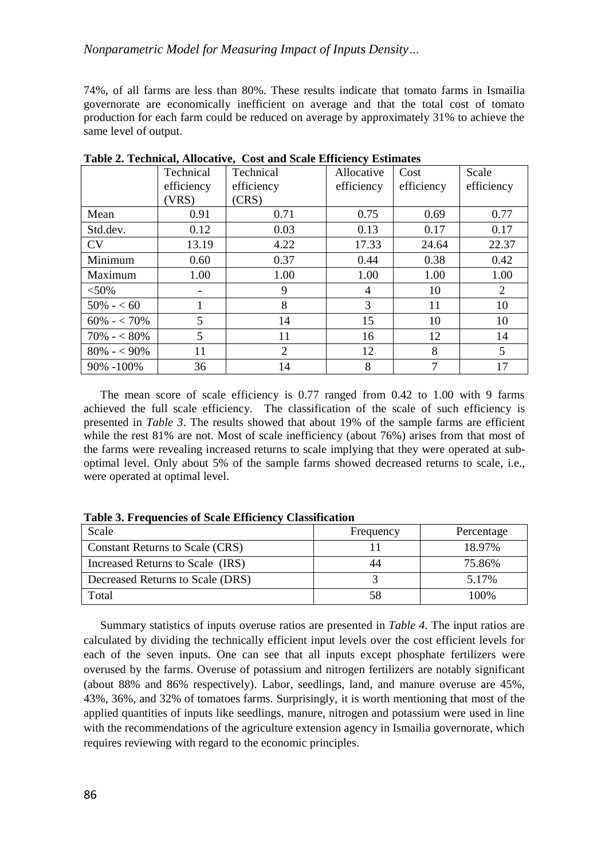# *Nonparametric Model for Measuring Impact of Inputs Density…*

74%, of all farms are less than 80%. These results indicate that tomato farms in Ismailia governorate are economically inefficient on average and that the total cost of tomato production for each farm could be reduced on average by approximately 31% to achieve the same level of output.

|                | Technical  | Technical  | Allocative | Cost       | Scale      |
|----------------|------------|------------|------------|------------|------------|
|                | efficiency | efficiency | efficiency | efficiency | efficiency |
|                | (VRS)      | (CRS)      |            |            |            |
| Mean           | 0.91       | 0.71       | 0.75       | 0.69       | 0.77       |
| Std.dev.       | 0.12       | 0.03       | 0.13       | 0.17       | 0.17       |
| CV             | 13.19      | 4.22       | 17.33      | 24.64      | 22.37      |
| Minimum        | 0.60       | 0.37       | 0.44       | 0.38       | 0.42       |
| Maximum        | 1.00       | 1.00       | 1.00       | 1.00       | 1.00       |
| $< 50\%$       |            | 9          | 4          | 10         | 2          |
| $50\% - 60$    | 1          | 8          | 3          | 11         | 10         |
| $60\% - 70\%$  | 5          | 14         | 15         | 10         | 10         |
| $70\% - 80\%$  | 5          | 11         | 16         | 12         | 14         |
| $80\% - 590\%$ | 11         | 2          | 12         | 8          | 5          |
| $90\% - 100\%$ | 36         | 14         | 8          | 7          | 17         |

<span id="page-5-0"></span>**Table 2. Technical, Allocative, Cost and Scale Efficiency Estimates**

The mean score of scale efficiency is 0.77 ranged from 0.42 to 1.00 with 9 farms achieved the full scale efficiency. The classification of the scale of such efficiency is presented in *[Table 3](#page-5-1)*. The results showed that about 19% of the sample farms are efficient while the rest 81% are not. Most of scale inefficiency (about 76%) arises from that most of the farms were revealing increased returns to scale implying that they were operated at suboptimal level. Only about 5% of the sample farms showed decreased returns to scale, i.e., were operated at optimal level.

| Scale                            | Frequency | Percentage |
|----------------------------------|-----------|------------|
| Constant Returns to Scale (CRS)  |           | 18.97%     |
| Increased Returns to Scale (IRS) | 44        | 75.86%     |
| Decreased Returns to Scale (DRS) |           | 5.17%      |
| Total                            | 58        | $100\%$    |

<span id="page-5-1"></span>**Table 3. Frequencies of Scale Efficiency Classification**

Summary statistics of inputs overuse ratios are presented in *Table 4.* The input ratios are calculated by dividing the technically efficient input levels over the cost efficient levels for each of the seven inputs. One can see that all inputs except phosphate fertilizers were overused by the farms. Overuse of potassium and nitrogen fertilizers are notably significant (about 88% and 86% respectively). Labor, seedlings, land, and manure overuse are 45%, 43%, 36%, and 32% of tomatoes farms. Surprisingly, it is worth mentioning that most of the applied quantities of inputs like seedlings, manure, nitrogen and potassium were used in line with the recommendations of the agriculture extension agency in Ismailia governorate, which requires reviewing with regard to the economic principles.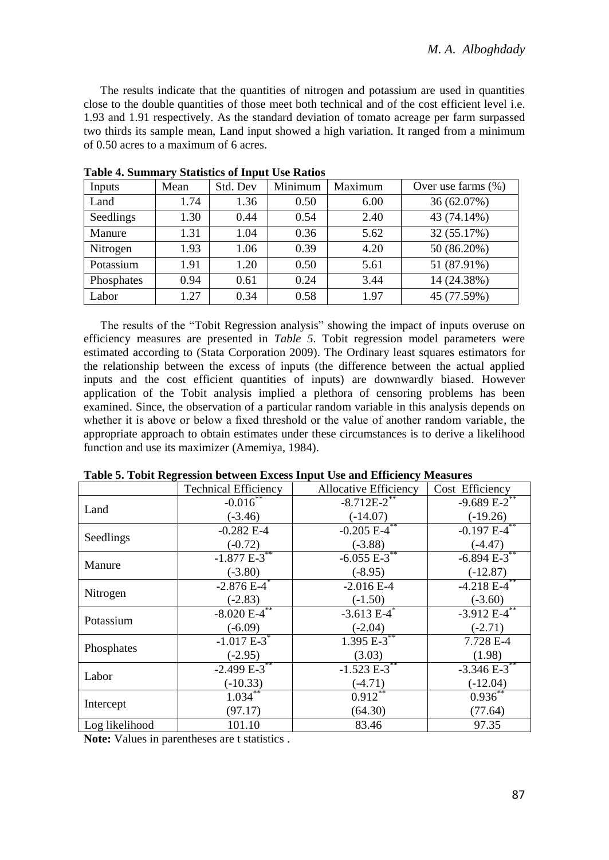The results indicate that the quantities of nitrogen and potassium are used in quantities close to the double quantities of those meet both technical and of the cost efficient level i.e. 1.93 and 1.91 respectively. As the standard deviation of tomato acreage per farm surpassed two thirds its sample mean, Land input showed a high variation. It ranged from a minimum of 0.50 acres to a maximum of 6 acres.

| Inputs     | Mean | Std. Dev | Minimum | Maximum | Over use farms $(\%)$ |
|------------|------|----------|---------|---------|-----------------------|
| Land       | 1.74 | 1.36     | 0.50    | 6.00    | 36 (62.07%)           |
| Seedlings  | 1.30 | 0.44     | 0.54    | 2.40    | 43 (74.14%)           |
| Manure     | 1.31 | 1.04     | 0.36    | 5.62    | 32 (55.17%)           |
| Nitrogen   | 1.93 | 1.06     | 0.39    | 4.20    | 50 (86.20%)           |
| Potassium  | 1.91 | 1.20     | 0.50    | 5.61    | 51 (87.91%)           |
| Phosphates | 0.94 | 0.61     | 0.24    | 3.44    | 14 (24.38%)           |
| Labor      | 1.27 | 0.34     | 0.58    | 1.97    | 45 (77.59%)           |

**Table 4. Summary Statistics of Input Use Ratios**

The results of the "Tobit Regression analysis" showing the impact of inputs overuse on efficiency measures are presented in *Table 5*. Tobit regression model parameters were estimated according to [\(Stata Corporation 2009\)](#page-8-8). The Ordinary least squares estimators for the relationship between the excess of inputs (the difference between the actual applied inputs and the cost efficient quantities of inputs) are downwardly biased. However application of the Tobit analysis implied a plethora of censoring problems has been examined. Since, the observation of a particular random variable in this analysis depends on whether it is above or below a fixed threshold or the value of another random variable, the appropriate approach to obtain estimates under these circumstances is to derive a likelihood function and use its maximizer [\(Amemiya,](#page-7-10) 1984).

|                | <b>Technical Efficiency</b> | Allocative Efficiency | Cost Efficiency              |
|----------------|-----------------------------|-----------------------|------------------------------|
| Land           | $-0.016$ **                 | $-8.712E - 2^{**}$    | $-9.689E-2$                  |
|                | $(-3.46)$                   | $(-14.07)$            | $(-19.26)$                   |
| Seedlings      | $-0.282 E-4$                | $-0.205E-4$ **        | $-0.197$ $E-4$ <sup>**</sup> |
|                | $(-0.72)$                   | $(-3.88)$             | $(-4.47)$                    |
| Manure         | $-1.877 E-3$ **             | $-6.055E-3$ **        | $-6.894 E-3$ **              |
|                | $(-3.80)$                   | $(-8.95)$             | $(-12.87)$                   |
| Nitrogen       | $-2.876E-4$                 | $-2.016E-4$           | $-4.2\overline{18E-4}^{**}$  |
|                | $(-2.83)$                   | $(-1.50)$             | $(-3.60)$                    |
| Potassium      | $-8.020E-4$ **              | $-3.613 E^{-4}$       | $-3.912E-4$ **               |
|                | $(-6.09)$                   | $(-2.04)$             | $(-2.71)$                    |
| Phosphates     | $-1.017E-3$ <sup>*</sup>    | $1.395 E-3$ **        | 7.728 E-4                    |
|                | $(-2.95)$                   | (3.03)                | (1.98)                       |
| Labor          | $-2.499E - 3$ **            | $-1.523E-3$           | $-3.346 E-3$ **              |
|                | $(-10.33)$                  | $(-4.71)$             | $(-12.04)$                   |
| Intercept      | $1.034***$                  | $0.912**$             | $0.936^{**}$                 |
|                | (97.17)                     | (64.30)               | (77.64)                      |
| Log likelihood | 101.10                      | 83.46                 | 97.35                        |

**Table 5. Tobit Regression between Excess Input Use and Efficiency Measures**

**Note:** Values in parentheses are t statistics .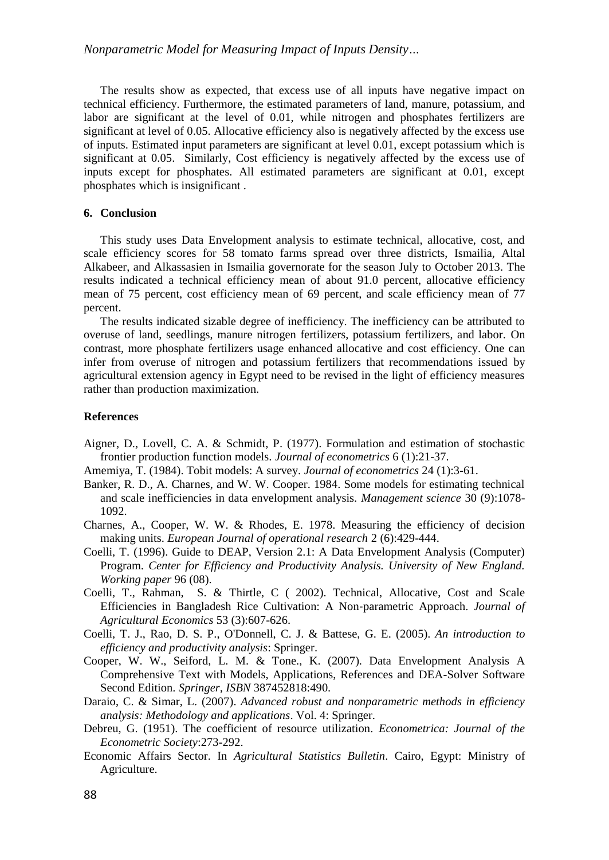The results show as expected, that excess use of all inputs have negative impact on technical efficiency. Furthermore, the estimated parameters of land, manure, potassium, and labor are significant at the level of 0.01, while nitrogen and phosphates fertilizers are significant at level of 0.05. Allocative efficiency also is negatively affected by the excess use of inputs. Estimated input parameters are significant at level 0.01, except potassium which is significant at 0.05. Similarly, Cost efficiency is negatively affected by the excess use of inputs except for phosphates. All estimated parameters are significant at 0.01, except phosphates which is insignificant .

## **6. Conclusion**

This study uses Data Envelopment analysis to estimate technical, allocative, cost, and scale efficiency scores for 58 tomato farms spread over three districts, Ismailia, Altal Alkabeer, and Alkassasien in Ismailia governorate for the season July to October 2013. The results indicated a technical efficiency mean of about 91.0 percent, allocative efficiency mean of 75 percent, cost efficiency mean of 69 percent, and scale efficiency mean of 77 percent.

The results indicated sizable degree of inefficiency. The inefficiency can be attributed to overuse of land, seedlings, manure nitrogen fertilizers, potassium fertilizers, and labor. On contrast, more phosphate fertilizers usage enhanced allocative and cost efficiency. One can infer from overuse of nitrogen and potassium fertilizers that recommendations issued by agricultural extension agency in Egypt need to be revised in the light of efficiency measures rather than production maximization.

#### **References**

- <span id="page-7-4"></span>Aigner, D., Lovell, C. A. & Schmidt, P. (1977). Formulation and estimation of stochastic frontier production function models. *Journal of econometrics* 6 (1):21-37.
- <span id="page-7-10"></span>Amemiya, T. (1984). Tobit models: A survey. *Journal of econometrics* 24 (1):3-61.
- <span id="page-7-6"></span>Banker, R. D., A. Charnes, and W. W. Cooper. 1984. Some models for estimating technical and scale inefficiencies in data envelopment analysis. *Management science* 30 (9):1078- 1092.
- <span id="page-7-5"></span>Charnes, A., Cooper, W. W. & Rhodes, E. 1978. Measuring the efficiency of decision making units. *European Journal of operational research* 2 (6):429-444.
- <span id="page-7-9"></span>Coelli, T. (1996). Guide to DEAP, Version 2.1: A Data Envelopment Analysis (Computer) Program. *Center for Efficiency and Productivity Analysis. University of New England. Working paper* 96 (08).
- <span id="page-7-7"></span>Coelli, T., Rahman, S. & Thirtle, C ( 2002). Technical, Allocative, Cost and Scale Efficiencies in Bangladesh Rice Cultivation: A Non‐parametric Approach. *Journal of Agricultural Economics* 53 (3):607-626.
- <span id="page-7-8"></span>Coelli, T. J., Rao, D. S. P., O'Donnell, C. J. & Battese, G. E. (2005). *An introduction to efficiency and productivity analysis*: Springer.
- <span id="page-7-1"></span>Cooper, W. W., Seiford, L. M. & Tone., K. (2007). Data Envelopment Analysis A Comprehensive Text with Models, Applications, References and DEA-Solver Software Second Edition. *Springer, ISBN* 387452818:490.
- <span id="page-7-2"></span>Daraio, C. & Simar, L. (2007). *Advanced robust and nonparametric methods in efficiency analysis: Methodology and applications*. Vol. 4: Springer.
- <span id="page-7-3"></span>Debreu, G. (1951). The coefficient of resource utilization. *Econometrica: Journal of the Econometric Society*:273-292.
- <span id="page-7-0"></span>Economic Affairs Sector. In *Agricultural Statistics Bulletin*. Cairo, Egypt: Ministry of Agriculture.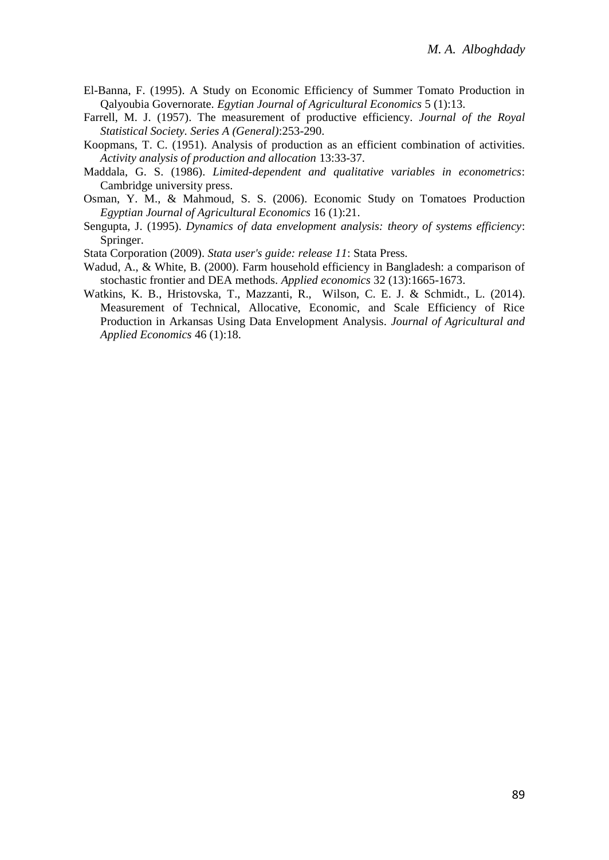- <span id="page-8-0"></span>El-Banna, F. (1995). A Study on Economic Efficiency of Summer Tomato Production in Qalyoubia Governorate. *Egytian Journal of Agricultural Economics* 5 (1):13.
- <span id="page-8-4"></span>Farrell, M. J. (1957). The measurement of productive efficiency. *Journal of the Royal Statistical Society. Series A (General)*:253-290.
- <span id="page-8-3"></span>Koopmans, T. C. (1951). Analysis of production as an efficient combination of activities. *Activity analysis of production and allocation* 13:33-37.
- <span id="page-8-7"></span>Maddala, G. S. (1986). *Limited-dependent and qualitative variables in econometrics*: Cambridge university press.
- <span id="page-8-1"></span>Osman, Y. M., & Mahmoud, S. S. (2006). Economic Study on Tomatoes Production *Egyptian Journal of Agricultural Economics* 16 (1):21.
- <span id="page-8-2"></span>Sengupta, J. (1995). *Dynamics of data envelopment analysis: theory of systems efficiency*: Springer.
- <span id="page-8-8"></span>Stata Corporation (2009). *Stata user's guide: release 11*: Stata Press.
- <span id="page-8-5"></span>Wadud, A., & White, B. (2000). Farm household efficiency in Bangladesh: a comparison of stochastic frontier and DEA methods. *Applied economics* 32 (13):1665-1673.
- <span id="page-8-6"></span>Watkins, K. B., Hristovska, T., Mazzanti, R., Wilson, C. E. J. & Schmidt., L. (2014). Measurement of Technical, Allocative, Economic, and Scale Efficiency of Rice Production in Arkansas Using Data Envelopment Analysis. *Journal of Agricultural and Applied Economics* 46 (1):18.